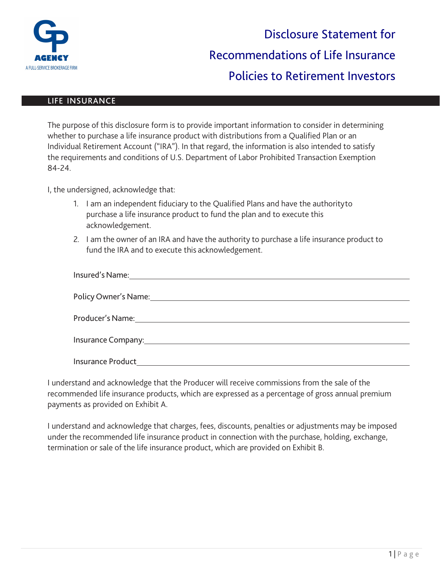

## LIFE INSURANCE

| The purpose of this disclosure form is to provide important information to consider in determining |
|----------------------------------------------------------------------------------------------------|
| whether to purchase a life insurance product with distributions from a Qualified Plan or an        |
| Individual Retirement Account ("IRA"). In that regard, the information is also intended to satisfy |
| the requirements and conditions of U.S. Department of Labor Prohibited Transaction Exemption       |
| 84-24.                                                                                             |

I, the undersigned, acknowledge that:

- 1. I am an independent fiduciary to the Qualified Plans and have the authorityto purchase a life insurance product to fund the plan and to execute this acknowledgement.
- 2. I am the owner of an IRA and have the authority to purchase a life insurance product to fund the IRA and to execute this acknowledgement.

| Policy Owner's Name: Name and Service Control of the Control of the Control of the Control of the Control of the Control of the Control of the Control of the Control of the Control of the Control of the Control of the Cont |
|--------------------------------------------------------------------------------------------------------------------------------------------------------------------------------------------------------------------------------|
|                                                                                                                                                                                                                                |
|                                                                                                                                                                                                                                |
| <b>Insurance Product</b>                                                                                                                                                                                                       |

I understand and acknowledge that the Producer will receive commissions from the sale of the recommended life insurance products, which are expressed as a percentage of gross annual premium payments as provided on Exhibit A.

I understand and acknowledge that charges, fees, discounts, penalties or adjustments may be imposed under the recommended life insurance product in connection with the purchase, holding, exchange, termination or sale of the life insurance product, which are provided on Exhibit B.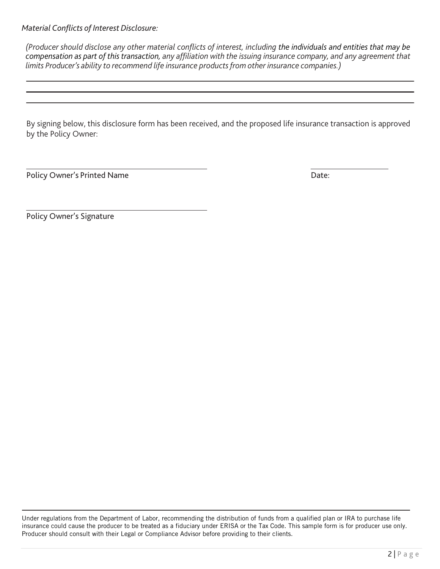*Material Conflicts of Interest Disclosure:*

*(Producer should disclose any other material conflicts of interest, including the individuals and entities that may be compensation as part of this transaction, any affiliation with the issuing insurance company, and any agreement that limits Producer's ability to recommend life insurance products from other insurance companies.)*

By signing below, this disclosure form has been received, and the proposed life insurance transaction is approved by the Policy Owner:

Policy Owner's Printed Name **Date:** Date:

Policy Owner's Signature

Under regulations from the Department of Labor, recommending the distribution of funds from a qualified plan or IRA to purchase life insurance could cause the producer to be treated as a fiduciary under ERISA or the Tax Code. This sample form is for producer use only. Producer should consult with their Legal or Compliance Advisor before providing to their clients.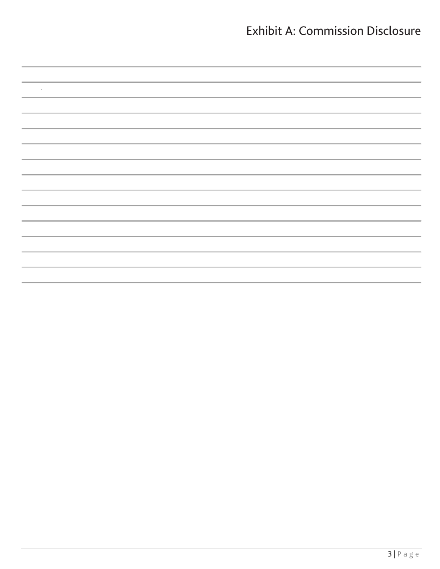## Exhibit A: Commission Disclosure

| ,一个人的人都是一个人的人,而且,他们的人都是一个人的人,而且,他们的人都是一个人的人,而且,他们的人都是一个人的人,而且,他们的人都是一个人的人,而且,他们的<br>第一百一十一章 一个人的人,他们的人都是一个人的人,他们的人都是一个人的人,他们的人都是一个人的人,他们的人都是一个人的人,他们的人都是一个人的人,他们的人都是 |  |
|----------------------------------------------------------------------------------------------------------------------------------------------------------------------|--|
|                                                                                                                                                                      |  |
|                                                                                                                                                                      |  |
|                                                                                                                                                                      |  |
|                                                                                                                                                                      |  |
|                                                                                                                                                                      |  |
|                                                                                                                                                                      |  |
|                                                                                                                                                                      |  |
|                                                                                                                                                                      |  |
|                                                                                                                                                                      |  |
|                                                                                                                                                                      |  |
|                                                                                                                                                                      |  |
|                                                                                                                                                                      |  |
|                                                                                                                                                                      |  |
|                                                                                                                                                                      |  |
|                                                                                                                                                                      |  |
|                                                                                                                                                                      |  |
|                                                                                                                                                                      |  |
|                                                                                                                                                                      |  |
|                                                                                                                                                                      |  |
|                                                                                                                                                                      |  |
|                                                                                                                                                                      |  |
|                                                                                                                                                                      |  |
|                                                                                                                                                                      |  |
|                                                                                                                                                                      |  |
|                                                                                                                                                                      |  |
|                                                                                                                                                                      |  |
|                                                                                                                                                                      |  |
| ,一个人的人都是一个人的人,而且,他们的人都是一个人的人,而且,他们的人都是一个人的人,而且,他们的人都是一个人的人,而且,他们的人都是一个人的人,而且,他们的<br>第一百一十一章 一个人的人,他们的人都是一个人的人,他们的人都是一个人的人,他们的人都是一个人的人,他们的人都是一个人的人,他们的人都是一个人的人,他们的人都是 |  |
|                                                                                                                                                                      |  |
|                                                                                                                                                                      |  |
|                                                                                                                                                                      |  |
| ,一个人的人都是一个人的人,但是,他们的人都是不是,他们的人都是不是,他们的人都是不是,他们的人都是不是,他们的人都是不是,他们的人都是不是,他们的人都是不是,<br>第151章 我们的人都是不是,我们的人都是不是,我们的人都是不是,我们的人都是不是,我们的人都是不是,我们的人都是不是,我们的人都是不是,我们的人都是不是,我们 |  |
|                                                                                                                                                                      |  |
|                                                                                                                                                                      |  |
|                                                                                                                                                                      |  |
|                                                                                                                                                                      |  |
|                                                                                                                                                                      |  |
|                                                                                                                                                                      |  |
|                                                                                                                                                                      |  |
|                                                                                                                                                                      |  |
|                                                                                                                                                                      |  |
|                                                                                                                                                                      |  |
|                                                                                                                                                                      |  |
|                                                                                                                                                                      |  |